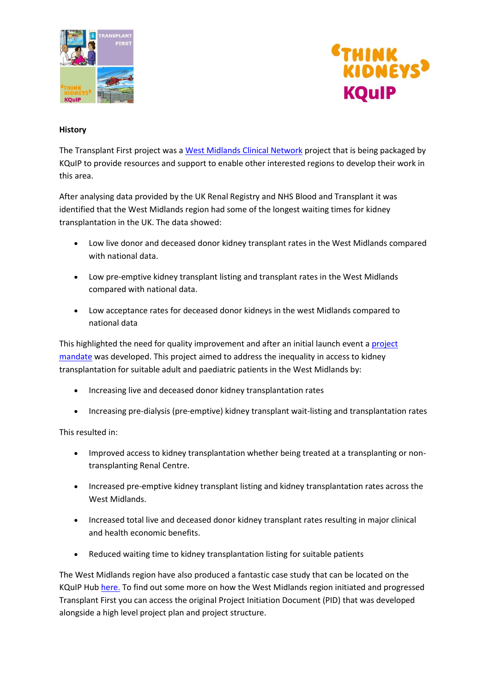



## **History**

The Transplant First project was a [West Midlands Clinical Network](https://www.england.nhs.uk/mids-east/clinical-networks/west-midlands-clinical-network/) project that is being packaged by KQuIP to provide resources and support to enable other interested regions to develop their work in this area.

After analysing data provided by the UK Renal Registry and NHS Blood and Transplant it was identified that the West Midlands region had some of the longest waiting times for kidney transplantation in the UK. The data showed:

- Low live donor and deceased donor kidney transplant rates in the West Midlands compared with national data.
- Low pre-emptive kidney transplant listing and transplant rates in the West Midlands compared with national data.
- Low acceptance rates for deceased donor kidneys in the west Midlands compared to national data

This highlighted the need for quality improvement and after an initial launch event [a project](http://www.thinkkidneys.nhs.uk/kquip/wp-content/uploads/sites/5/2017/03/Project_Mandate_-_Renal_Transplant_2015-17_FINAL.pdf)  [mandate](http://www.thinkkidneys.nhs.uk/kquip/wp-content/uploads/sites/5/2017/03/Project_Mandate_-_Renal_Transplant_2015-17_FINAL.pdf) was developed. This project aimed to address the inequality in access to kidney transplantation for suitable adult and paediatric patients in the West Midlands by:

- Increasing live and deceased donor kidney transplantation rates
- Increasing pre-dialysis (pre-emptive) kidney transplant wait-listing and transplantation rates

This resulted in:

- Improved access to kidney transplantation whether being treated at a transplanting or nontransplanting Renal Centre.
- Increased pre-emptive kidney transplant listing and kidney transplantation rates across the West Midlands.
- Increased total live and deceased donor kidney transplant rates resulting in major clinical and health economic benefits.
- Reduced waiting time to kidney transplantation listing for suitable patients

The West Midlands region have also produced a fantastic case study that can be located on the KQuIP Hu[b here.](https://www.thinkkidneys.nhs.uk/kquip/hub/transplant-first-transforming-kidney-transplants-west-midlands/) To find out some more on how the West Midlands region initiated and progressed Transplant First you can access the original Project Initiation Document (PID) that was developed alongside a high level project plan and project structure.